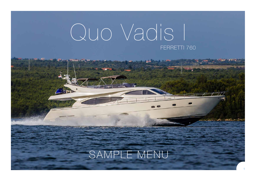# Quo Vadis I FERRETTI 760

## SAMPLE MENU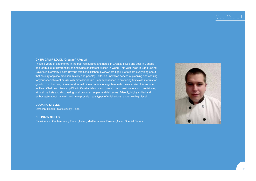### Quo Vadis

#### **CHEF: DAMIR LOJDL (Croatian) / Age 24**

I have 8 years of experience in the best restaurants and hotels in Croatia. I lived one year in Canada and learn a lot of different styles and types of different kitchen in World. This year I was in Bad Fussing, Bavaria in Germany I learn Bavaria traditional kitchen. Everywhere I go I like to learn everything about that country or place (tradition, history and people). I offer an unrivalled service of planning and cooking for your special event or visit with professionalism. I am experienced in producing first class menu's for guests, from lunches, dinners and formal dinner parties to large banquets. I was worked this summer as Head Chef on cruises ship Plomin Croatia (islands and coasts). I am passionate about provisioning at local markets and discovering local produce, recipes and delicacies. Friendly, highly skilled and enthusiastic about my work and I can provide many types of cuisine to an extremely high level.

#### **COOKING STYLES**

Excellent Health / Meticulously Clean

#### **CULINARY SKILLS**

Classical and Contemporary French,Italian, Mediterranean, Russian,Asian, Special Dietary

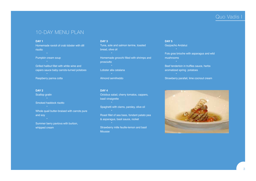## Quo Vadis I

## 10-DAY MENU PLAN

#### **DAY 1**

Homemade ravioli of crab lobster with dill risotto

#### Pumpkin cream soup

Grilled halibut fillet with white wine and capers sauce baby carrots-turned potatoes Raspberry panna cotta

#### **DAY 2**

whipped cream

Scallop gratin Smoked haddock risotto Whole quail butter-braised with carrots pure and soy Summer berry pavlova with burbon,

#### **DAY 3**

Tuna, sole and salmon terrine, toasted bread, olive oil Homemade gnocchi filled with shrimps and prosciutto Lobster alla catalana

Almond semifreddo

#### **DAY 4**

Octobus salad, cherry tomatos, cappers, basil vinaigrette

Spaghetti with clams, parsley, olive oil

Roast fillet of sea bass, fondant patato pea & asparagus, basil sauce, rocket

Strawberry mille feuille-lemon and basil **Mousse** 

**DAY 5** Gazpacho Andaluz Fois gras brioche with asparagus and wild

mushrooms

Beef tenderloin in truffles sauce, herbs aromatized spring potatoes

Strawberry parafait, lime cocnout cream